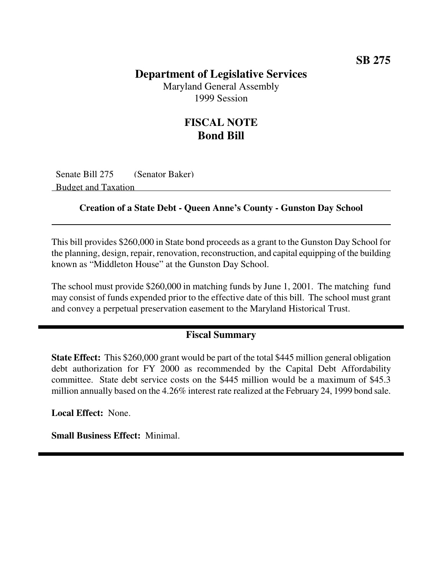## **Department of Legislative Services**

Maryland General Assembly 1999 Session

## **FISCAL NOTE Bond Bill**

Senate Bill 275 (Senator Baker) Budget and Taxation

#### **Creation of a State Debt - Queen Anne's County - Gunston Day School**

This bill provides \$260,000 in State bond proceeds as a grant to the Gunston Day School for the planning, design, repair, renovation, reconstruction, and capital equipping of the building known as "Middleton House" at the Gunston Day School.

The school must provide \$260,000 in matching funds by June 1, 2001. The matching fund may consist of funds expended prior to the effective date of this bill. The school must grant and convey a perpetual preservation easement to the Maryland Historical Trust.

### **Fiscal Summary**

**State Effect:** This \$260,000 grant would be part of the total \$445 million general obligation debt authorization for FY 2000 as recommended by the Capital Debt Affordability committee. State debt service costs on the \$445 million would be a maximum of \$45.3 million annually based on the 4.26% interest rate realized at the February 24, 1999 bond sale.

**Local Effect:** None.

**Small Business Effect:** Minimal.